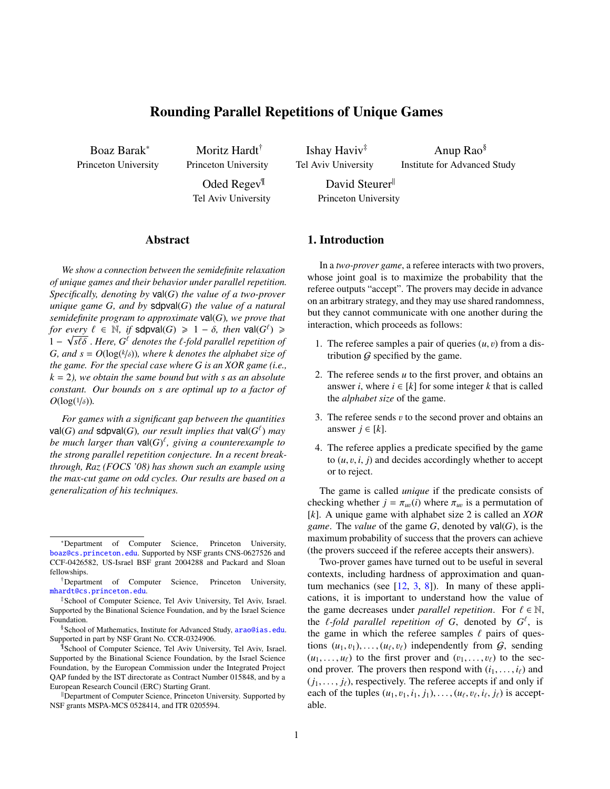# Rounding Parallel Repetitions of Unique Games

Boaz Barak<sup>∗</sup> Princeton University

Moritz Hardt† Princeton University Oded Regev<sup>¶</sup>

Tel Aviv University

Ishay Haviv‡ Tel Aviv University

Anup Rao§ Institute for Advanced Study

David Steurer<sup>ll</sup> Princeton University

### Abstract

*We show a connection between the semidefinite relaxation of unique games and their behavior under parallel repetition. Specifically, denoting by* val(*G*) *the value of a two-prover unique game G, and by* sdpval(*G*) *the value of a natural semidefinite program to approximate* val(*G*)*, we prove that for every*  $\ell \in \mathbb{N}$ , *if* sdpval(*G*)  $\geqslant 1 - \delta$ , *then* val(*G*<sup> $\ell$ </sup>)  $\geqslant$  1 –  $\sqrt{s\ell\delta}$  Here *G*<sup> $\ell$ </sup> denotes the *f*-fold parallel repetition of  $1 - \sqrt{s\ell\delta}$  . *Here,*  $G^{\ell}$  *denotes the ℓ*-*fold parallel repetition of*  $G$  *and*  $s = O(\log(k/\delta))$  where *k* denotes the alphabet size of *G, and s* =  $O(\log(k/\delta))$ , where *k denotes the alphabet size of* the game *for the special case where G is an XOR game (i.e.*) *the game. For the special case where G is an XOR game (i.e., k* = 2*), we obtain the same bound but with s as an absolute constant. Our bounds on s are optimal up to a factor of*  $O(\log(1/\delta))$ .

*For games with a significant gap between the quantities*  $\mathsf{val}(G)$  *and*  $\mathsf{sdpval}(G)$ *, our result implies that*  $\mathsf{val}(G^\ell)$  *may be much larger than* val(*G*) ` *, giving a counterexample to the strong parallel repetition conjecture. In a recent breakthrough, Raz (FOCS '08) has shown such an example using the max-cut game on odd cycles. Our results are based on a generalization of his techniques.*

## 1. Introduction

In a *two-prover game*, a referee interacts with two provers, whose joint goal is to maximize the probability that the referee outputs "accept". The provers may decide in advance on an arbitrary strategy, and they may use shared randomness, but they cannot communicate with one another during the interaction, which proceeds as follows:

- 1. The referee samples a pair of queries  $(u, v)$  from a distribution  $G$  specified by the game.
- 2. The referee sends *u* to the first prover, and obtains an answer *i*, where  $i \in [k]$  for some integer *k* that is called the *alphabet size* of the game.
- 3. The referee sends  $v$  to the second prover and obtains an answer  $j \in [k]$ .
- 4. The referee applies a predicate specified by the game to  $(u, v, i, j)$  and decides accordingly whether to accept or to reject.

The game is called *unique* if the predicate consists of checking whether  $j = \pi_{uv}(i)$  where  $\pi_{uv}$  is a permutation of  $[k]$ . A unique game with alphabet size 2 is called an *XOR* [*k*]. A unique game with alphabet size 2 is called an *XOR game*. The *value* of the game  $G$ , denoted by  $val(G)$ , is the maximum probability of success that the provers can achieve (the provers succeed if the referee accepts their answers).

Two-prover games have turned out to be useful in several contexts, including hardness of approximation and quantum mechanics (see  $[12, 3, 8]$  $[12, 3, 8]$  $[12, 3, 8]$  $[12, 3, 8]$  $[12, 3, 8]$ ). In many of these applications, it is important to understand how the value of the game decreases under *parallel repetition*. For  $\ell \in \mathbb{N}$ , the *l*-fold parallel repetition of *G*, denoted by  $G^{\ell}$ , is<br>the game in which the referee samples *f* pairs of ques. the game in which the referee samples  $\ell$  pairs of questions  $(u_1, v_1), \ldots, (u_\ell, v_\ell)$  independently from  $G$ , sending  $(u_1, \ldots, u_\ell)$  to the sec- $(u_1, \ldots, u_\ell)$  to the first prover and  $(v_1, \ldots, v_\ell)$  to the second prover. The provers then respond with  $(i_1, \ldots, i_\ell)$  and  $(j_1, \ldots, j_\ell)$ , respectively. The referee accepts if and only if each of the tuples  $(u_1, v_1, i_1, j_1), \ldots, (u_\ell, v_\ell, i_\ell, j_\ell)$  is acceptable.

<sup>∗</sup>Department of Computer Science, Princeton University, [boaz@cs.princeton.edu](mailto:boaz@cs.princeton.edu). Supported by NSF grants CNS-0627526 and CCF-0426582, US-Israel BSF grant 2004288 and Packard and Sloan fellowships.

<sup>†</sup>Department of Computer Science, Princeton University, [mhardt@cs.princeton.edu](mailto:mhardt@cs.princeton.edu).

<sup>‡</sup>School of Computer Science, Tel Aviv University, Tel Aviv, Israel. Supported by the Binational Science Foundation, and by the Israel Science Foundation.

<sup>§</sup>School of Mathematics, Institute for Advanced Study, [arao@ias.edu](mailto:arao@ias.edu). Supported in part by NSF Grant No. CCR-0324906.

<sup>¶</sup>School of Computer Science, Tel Aviv University, Tel Aviv, Israel. Supported by the Binational Science Foundation, by the Israel Science Foundation, by the European Commission under the Integrated Project QAP funded by the IST directorate as Contract Number 015848, and by a European Research Council (ERC) Starting Grant.

<sup>&</sup>lt;sup>II</sup>Department of Computer Science, Princeton University. Supported by NSF grants MSPA-MCS 0528414, and ITR 0205594.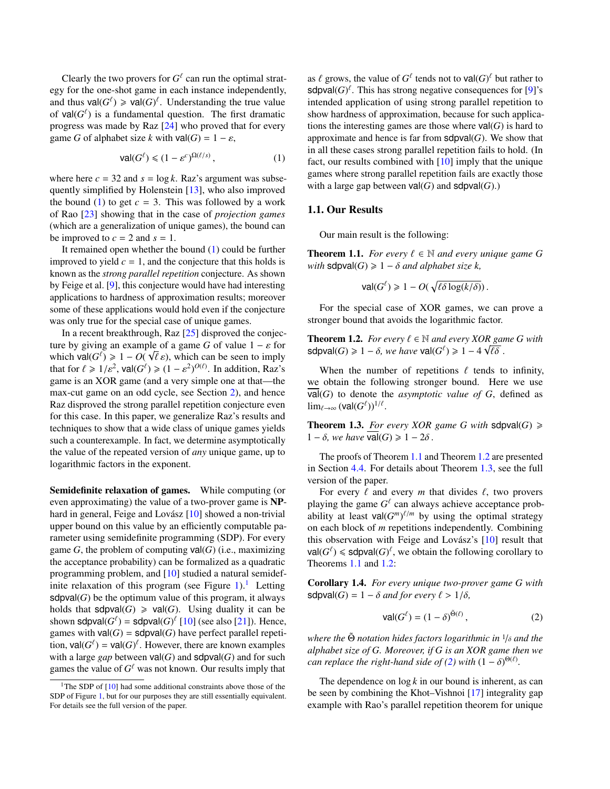Clearly the two provers for  $G^{\ell}$  can run the optimal strategy for the one-shot game in each instance independently, and thus  $\text{val}(G^{\ell}) \geq \text{val}(G)^{\ell}$ . Understanding the true value of  $\text{val}(G^{\ell})$  is a fundamental question. The first dramatic progress was made by Raz [\[24\]](#page-9-3) who proved that for every game *G* of alphabet size *k* with  $val(G) = 1 - \varepsilon$ ,

<span id="page-1-0"></span>
$$
\text{val}(G^{\ell}) \leq (1 - \varepsilon^{c})^{\Omega(\ell/s)},\tag{1}
$$

where here  $c = 32$  and  $s = \log k$ . Raz's argument was subsequently simplified by Holenstein [\[13\]](#page-9-4), who also improved the bound [\(1\)](#page-1-0) to get  $c = 3$ . This was followed by a work of Rao [\[23\]](#page-9-5) showing that in the case of *projection games* (which are a generalization of unique games), the bound can be improved to  $c = 2$  and  $s = 1$ .

It remained open whether the bound [\(1\)](#page-1-0) could be further improved to yield  $c = 1$ , and the conjecture that this holds is known as the *strong parallel repetition* conjecture. As shown by Feige et al. [\[9\]](#page-9-6), this conjecture would have had interesting applications to hardness of approximation results; moreover some of these applications would hold even if the conjecture was only true for the special case of unique games.

In a recent breakthrough, Raz [\[25\]](#page-9-7) disproved the conjecture by giving an example of a game *G* of value  $1 - \varepsilon$  for which value  $G(\sqrt{\varepsilon}) > 1 - O(\sqrt{\varepsilon})$  which can be seen to imply which  $\text{val}(G^{\ell}) \ge 1 - O(\sqrt{\ell} \varepsilon)$ , which can be seen to imply<br>that for  $\ell > 1/\varepsilon^2$ ,  $\text{val}(G^{\ell}) > (1 - \varepsilon^2)^{O(\ell)}$ . In addition, Raz's that for  $\ell \ge 1/\varepsilon^2$ ,  $\text{val}(G^{\ell}) \ge (1 - \varepsilon^2)^{O(\ell)}$ . In addition, Raz's game is an XOR game (and a very simple one at that—the max-cut game on an odd cycle, see Section [2\)](#page-2-0), and hence Raz disproved the strong parallel repetition conjecture even for this case. In this paper, we generalize Raz's results and techniques to show that a wide class of unique games yields such a counterexample. In fact, we determine asymptotically the value of the repeated version of *any* unique game, up to logarithmic factors in the exponent.

Semidefinite relaxation of games. While computing (or even approximating) the value of a two-prover game is NPhard in general, Feige and Lovász  $[10]$  $[10]$  showed a non-trivial upper bound on this value by an efficiently computable parameter using semidefinite programming (SDP). For every game  $G$ , the problem of computing  $val(G)$  (i.e., maximizing the acceptance probability) can be formalized as a quadratic programming problem, and [\[10\]](#page-9-8) studied a natural semidef-inite relaxation of this program (see Figure [1\)](#page-4-0).<sup>[1](#page-1-1)</sup> Letting  $sdpval(G)$  be the optimum value of this program, it always holds that  $sdpval(G) \geq val(G)$ . Using duality it can be shown sdpval $(G^{\ell})$  = sdpval $(G)^{\ell}$  [\[10\]](#page-9-8) (see also [\[21\]](#page-9-9)). Hence, games with  $val(G) = sdpval(G)$  have perfect parallel repetition,  $\text{val}(G^{\ell}) = \text{val}(G)^{\ell}$ . However, there are known examples with a large *gap* between  $val(G)$  and  $sdpval(G)$  and for such games the value of  $G^{\ell}$  was not known. Our results imply that

as  $\ell$  grows, the value of  $G^{\ell}$  tends not to  $\text{val}(G)^{\ell}$  but rather to  $\text{solv}(\ell)$ . This has strong negative consequences for [9]'s sdpval $(G)$ <sup> $\ell$ </sup>. This has strong negative consequences for [\[9\]](#page-9-6)'s intended application of using strong parallel repetition to show hardness of approximation, because for such applications the interesting games are those where  $val(G)$  is hard to approximate and hence is far from  $sdpval(G)$ . We show that in all these cases strong parallel repetition fails to hold. (In fact, our results combined with [\[10\]](#page-9-8) imply that the unique games where strong parallel repetition fails are exactly those with a large gap between  $val(G)$  and  $sdpval(G)$ .)

#### 1.1. Our Results

Our main result is the following:

<span id="page-1-2"></span>**Theorem 1.1.** *For every*  $\ell \in \mathbb{N}$  *and every unique game G with*  $sdpval(G) \geq 1 - \delta$  *and alphabet size k*,

$$
\text{val}(G^{\ell}) \geq 1 - O(\sqrt{\ell \delta \log(k/\delta)})\,.
$$

For the special case of XOR games, we can prove a stronger bound that avoids the logarithmic factor.

<span id="page-1-3"></span>**Theorem 1.2.** *For every*  $\ell \in \mathbb{N}$  *and every XOR game G with*<br>sdpyal(G) > 1 –  $\delta$  we have yal(G<sup>t</sup>) > 1 – 4  $\sqrt{\ell} \delta$  $\textsf{sdpval}(G) \geq 1 - \delta$ , we have  $\textsf{val}(G^{\ell}) \geq 1 - 4\sqrt{\ell\delta}$ .

When the number of repetitions  $\ell$  tends to infinity, we obtain the following stronger bound. Here we use  $\overline{val}(G)$  to denote the *asymptotic value of*  $G$ , defined as  $\lim_{\ell\to\infty}(\text{val}(G^\ell))^{1/\ell}.$ 

<span id="page-1-4"></span>**Theorem 1.3.** *For every XOR game G with*  $sdpval(G) \ge$  $1 - δ$ *, we have* val(*G*)  $\ge 1 - 2δ$ .

The proofs of Theorem [1.1](#page-1-2) and Theorem [1.2](#page-1-3) are presented in Section [4.4.](#page-6-0) For details about Theorem [1.3,](#page-1-4) see the full version of the paper.

For every  $\ell$  and every  $m$  that divides  $\ell$ , two provers playing the game  $G^{\ell}$  can always achieve acceptance probability at least  $\text{val}(G^m)^{\ell/m}$  by using the optimal strategy on each block of *m* repetitions independently. Combining this observation with Feige and Lovász's  $[10]$  $[10]$  result that  $\text{val}(G^{\ell}) \leq \text{sdpval}(G)^{\ell}$ , we obtain the following corollary to Theorems [1.1](#page-1-2) and [1.2:](#page-1-3)

Corollary 1.4. *For every unique two-prover game G with* sdpval(*G*) =  $1 - \delta$  *and for every*  $\ell > 1/\delta$ ,

<span id="page-1-5"></span>
$$
\text{val}(G^{\ell}) = (1 - \delta)^{\tilde{\Theta}(\ell)},\tag{2}
$$

*where the*  $\ddot{\Theta}$  *notation hides factors logarithmic in*  $1/δ$  *and the alphabet size of G. Moreover, if G is an XOR game then we can replace the right-hand side of* [\(2\)](#page-1-5) *with*  $(1 - \delta)^{\Theta(\ell)}$ .

The dependence on  $\log k$  in our bound is inherent, as can be seen by combining the Khot–Vishnoi [\[17\]](#page-9-10) integrality gap example with Rao's parallel repetition theorem for unique

<span id="page-1-1"></span><sup>&</sup>lt;sup>1</sup>The SDP of  $[10]$  had some additional constraints above those of the SDP of Figure [1,](#page-4-0) but for our purposes they are still essentially equivalent. For details see the full version of the paper.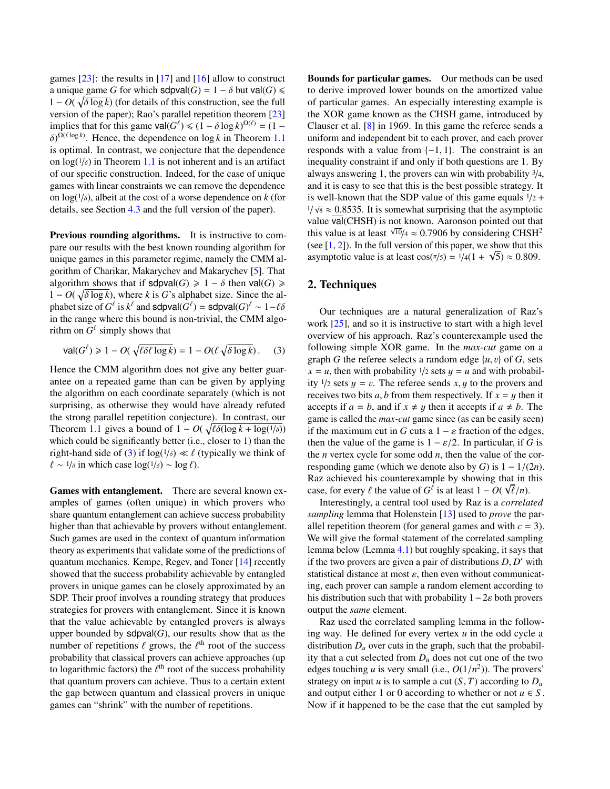games  $[23]$ : the results in  $[17]$  and  $[16]$  allow to construct a unique game *G* for which  $sdpval(G) = 1 - \delta$  but  $val(G) \le$  $1 - O(\sqrt{\delta \log k})$  (for details of this construction, see the full<br>version of the paper): Rao's parallel repetition theorem [23] version of the paper); Rao's parallel repetition theorem [\[23\]](#page-9-5) implies that for this game  $\text{val}(G^{\ell}) \leq (1 - \delta \log k)^{\Omega(\ell)} = (1 - \delta)^{\Omega(\ell)}$  Hence the dependence on  $\log k$  in Theorem 1.1  $\delta$ )<sup> $\Omega$ (*l* log *k*). Hence, the dependence on log *k* in Theorem [1.1](#page-1-2)</sup> is optimal. In contrast, we conjecture that the dependence on  $log(1/\delta)$  in Theorem [1.1](#page-1-2) is not inherent and is an artifact<br>of our specific construction. Indeed, for the case of unique of our specific construction. Indeed, for the case of unique games with linear constraints we can remove the dependence on  $log(1/\delta)$ , albeit at the cost of a worse dependence on *k* (for details see Section *A* 3 and the full version of the paper) details, see Section [4.3](#page-6-1) and the full version of the paper).

Previous rounding algorithms. It is instructive to compare our results with the best known rounding algorithm for unique games in this parameter regime, namely the CMM algorithm of Charikar, Makarychev and Makarychev [\[5\]](#page-9-12). That algorithm shows that if  $sdpval(G) \geq 1 - \delta$  then val(*G*)  $\geq$  $1 - O(\sqrt{\delta \log k})$ , where *k* is *G*'s alphabet size. Since the al-<br>phabet size of *G<sup>ℓ</sup>* is *k<sup>ℓ</sup>* and sdpyal(*G<sup>ℓ</sup>*) – sdpyal(*G*<sup>ℓ</sup>) ≈ 1–*t*δ phabet size of  $G^{\ell}$  is  $k^{\ell}$  and sdpval $(G^{\ell})$  = sdpval $(G)^{\ell} \sim 1-\ell\delta$ <br>in the range where this bound is non-trivial, the CMM algoin the range where this bound is non-trivial, the CMM algorithm on  $G^{\ell}$  simply shows that

<span id="page-2-1"></span>
$$
\text{val}(G^{\ell}) \geq 1 - O(\sqrt{\ell \delta \ell \log k}) = 1 - O(\ell \sqrt{\delta \log k}).\tag{3}
$$

Hence the CMM algorithm does not give any better guarantee on a repeated game than can be given by applying the algorithm on each coordinate separately (which is not surprising, as otherwise they would have already refuted the strong parallel repetition conjecture). In contrast, our Theorem [1.1](#page-1-2) gives a bound of  $1 - O(\sqrt{\ell \delta (\log k + \log(1/\delta))})$ <br>which could be significantly better (i.e., closer to 1) than the which could be significantly better (i.e., closer to 1) than the right-hand side of [\(3\)](#page-2-1) if  $\log(1/\delta) \ll \ell$  (typically we think of  $\ell \approx 1/\delta$  in which case  $\log(1/\delta) \approx \log \ell$ )  $\ell \sim \frac{1}{\delta}$  in which case log( $\frac{1}{\delta}$ ) ∼ log  $\ell$ ).

Games with entanglement. There are several known examples of games (often unique) in which provers who share quantum entanglement can achieve success probability higher than that achievable by provers without entanglement. Such games are used in the context of quantum information theory as experiments that validate some of the predictions of quantum mechanics. Kempe, Regev, and Toner [\[14\]](#page-9-13) recently showed that the success probability achievable by entangled provers in unique games can be closely approximated by an SDP. Their proof involves a rounding strategy that produces strategies for provers with entanglement. Since it is known that the value achievable by entangled provers is always upper bounded by  $sdpval(G)$ , our results show that as the number of repetitions  $\ell$  grows, the  $\ell^{\text{th}}$  root of the success<br>probability that classical provers can achieve approaches (up probability that classical provers can achieve approaches (up to logarithmic factors) the  $\ell^{\text{th}}$  root of the success probability<br>that quantum provers can achieve. Thus to a certain extent that quantum provers can achieve. Thus to a certain extent the gap between quantum and classical provers in unique games can "shrink" with the number of repetitions.

Bounds for particular games. Our methods can be used to derive improved lower bounds on the amortized value of particular games. An especially interesting example is the XOR game known as the CHSH game, introduced by Clauser et al. [\[8\]](#page-9-2) in 1969. In this game the referee sends a uniform and independent bit to each prover, and each prover responds with a value from  $\{-1, 1\}$ . The constraint is an inequality constraint if and only if both questions are 1. By always answering 1, the provers can win with probability  $\frac{3}{4}$ , and it is easy to see that this is the best possible strategy. It is well-known that the SDP value of this game equals  $1/2$  +  $\frac{1}{\sqrt{8}} \approx \frac{0.8535}{\sqrt{2}}$ . It is somewhat surprising that the asymptotic value  $\frac{1}{\sqrt{2}}$  (CHSH) is not known. Agronson pointed out that value val(CHSH) is not known. Aaronson pointed out that this value is at least  $\sqrt{10}/4 \approx 0.7906$  by considering CHSH<sup>2</sup><br>(see [1, 2]). In the full version of this paper, we show that this (see [\[1,](#page-8-0) [2\]](#page-8-1)). In the full version of this paper, we show that this asymptotic value is at least  $cos(\pi/5) = 1/4(1 + \sqrt{5}) \approx 0.809$ .

## <span id="page-2-0"></span>2. Techniques

Our techniques are a natural generalization of Raz's work [\[25\]](#page-9-7), and so it is instructive to start with a high level overview of his approach. Raz's counterexample used the following simple XOR game. In the *max-cut* game on a graph *G* the referee selects a random edge  $\{u, v\}$  of *G*, sets  $x = u$ , then with probability  $\frac{1}{2}$  sets  $y = u$  and with probability  $\frac{1}{2}$  sets  $y = v$ . The referee sends x, y to the provers and receives two bits  $a, b$  from them respectively. If  $x = y$  then it accepts if  $a = b$ , and if  $x \neq y$  then it accepts if  $a \neq b$ . The game is called the *max-cut* game since (as can be easily seen) if the maximum cut in *G* cuts a  $1 - \varepsilon$  fraction of the edges, then the value of the game is  $1 - \varepsilon/2$ . In particular, if *G* is the *n* vertex cycle for some odd *n*, then the value of the corresponding game (which we denote also by *G*) is  $1 - 1/(2n)$ . Raz achieved his counterexample by showing that in this case, for every  $\ell$  the value of  $G^{\ell}$  is at least  $1 - O(\sqrt{\ell/n})$ .<br>Interestingly, a central tool used by Paz is a correlation

Interestingly, a central tool used by Raz is a *correlated sampling* lemma that Holenstein [\[13\]](#page-9-4) used to *prove* the parallel repetition theorem (for general games and with  $c = 3$ ). We will give the formal statement of the correlated sampling lemma below (Lemma [4.1\)](#page-5-0) but roughly speaking, it says that if the two provers are given a pair of distributions  $D, D'$  with statistical distance at most  $\varepsilon$ , then even without communicate statistical distance at most  $\varepsilon$ , then even without communicating, each prover can sample a random element according to his distribution such that with probability  $1-2\varepsilon$  both provers output the *same* element.

Raz used the correlated sampling lemma in the following way. He defined for every vertex *u* in the odd cycle a distribution  $D<sub>u</sub>$  over cuts in the graph, such that the probability that a cut selected from  $D<sub>u</sub>$  does not cut one of the two edges touching *u* is very small (i.e.,  $O(1/n^2)$ ). The provers'<br>strategy on input *u* is to sample a cut  $(S, T)$  according to *D* strategy on input *u* is to sample a cut  $(S, T)$  according to  $D_u$ and output either 1 or 0 according to whether or not  $u \in S$ . Now if it happened to be the case that the cut sampled by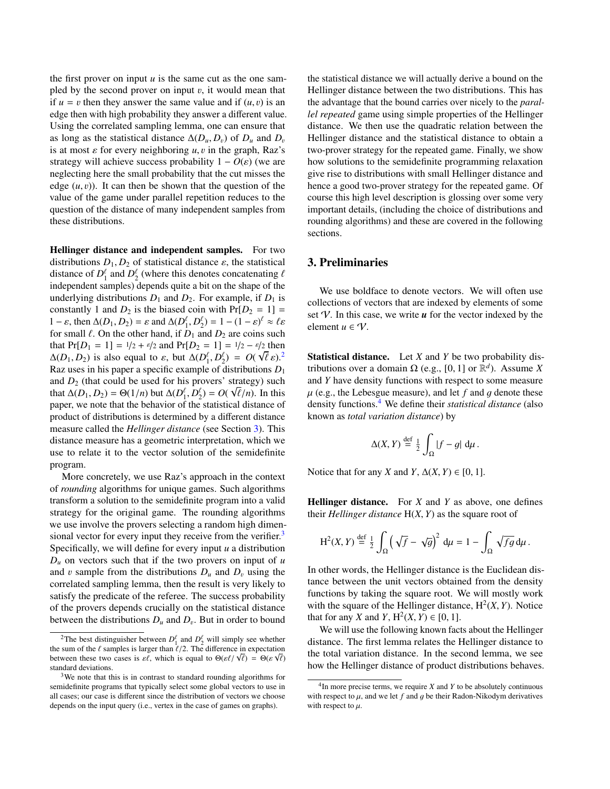the first prover on input  $u$  is the same cut as the one sampled by the second prover on input  $v$ , it would mean that if  $u = v$  then they answer the same value and if  $(u, v)$  is an edge then with high probability they answer a different value. Using the correlated sampling lemma, one can ensure that as long as the statistical distance  $\Delta(D_u, D_v)$  of  $D_u$  and  $D_v$ is at most  $\varepsilon$  for every neighboring  $u, v$  in the graph, Raz's strategy will achieve success probability  $1 - O(\varepsilon)$  (we are neglecting here the small probability that the cut misses the edge  $(u, v)$ ). It can then be shown that the question of the value of the game under parallel repetition reduces to the question of the distance of many independent samples from these distributions.

Hellinger distance and independent samples. For two distributions  $D_1, D_2$  of statistical distance  $\varepsilon$ , the statistical distance of  $D_1^{\ell}$  and  $D_2^{\ell}$  (where this denotes concatenating  $\ell$ <br>independent samples) depends quite a bit on the shape of the independent samples) depends quite a bit on the shape of the underlying distributions  $D_1$  and  $D_2$ . For example, if  $D_1$  is constantly 1 and  $D_2$  is the biased coin with  $Pr[D_2 = 1] =$  $1 - \varepsilon$ , then  $\Delta(D_1, D_2) = \varepsilon$  and  $\Delta(D_1^{\ell}, D_2^{\ell}) = 1 - (1 - \varepsilon)^{\ell} \approx \ell \varepsilon$ <br>for small  $\ell$ . On the other hand, if  $D_2$  and  $D_3$  are coins such for small  $\ell$ . On the other hand, if  $D_1$  and  $D_2$  are coins such that  $Pr[D_1 = 1] = \frac{1}{2} + \frac{\varepsilon}{2}$  and  $Pr[D_2 = 1] = \frac{1}{2} - \frac{\varepsilon}{2}$  then<br>A(*D*<sub>1</sub>, *D*<sub>2</sub>) is also equal to s but  $\Delta(D^{\ell}, D^{\ell}) = O(\sqrt{\ell})^2$  $\Delta(D_1, D_2)$  $\Delta(D_1, D_2)$  $\Delta(D_1, D_2)$  is also equal to  $\varepsilon$ , but  $\Delta(D_1^{\ell}, D_2^{\ell}) = O(\sqrt{\ell} \varepsilon)^2$ .<br>Baz uses in his paper a specific example of distributions *D*. Raz uses in his paper a specific example of distributions *D*<sup>1</sup> and  $D_2$  (that could be used for his provers' strategy) such that  $\Delta(D_1, D_2) = \Theta(1/n)$  but  $\Delta(D_1^{\ell}, D_2^{\ell}) = O(\sqrt{\ell/n})$ . In this paper, we note that the behavior of the statistical distance of product of distributions is determined by a different distance measure called the *Hellinger distance* (see Section [3\)](#page-3-1). This distance measure has a geometric interpretation, which we use to relate it to the vector solution of the semidefinite program.

More concretely, we use Raz's approach in the context of *rounding* algorithms for unique games. Such algorithms transform a solution to the semidefinite program into a valid strategy for the original game. The rounding algorithms we use involve the provers selecting a random high dimen-sional vector for every input they receive from the verifier.<sup>[3](#page-3-2)</sup> Specifically, we will define for every input *u* a distribution  $D_u$  on vectors such that if the two provers on input of *u* and v sample from the distributions  $D_u$  and  $D_v$  using the correlated sampling lemma, then the result is very likely to satisfy the predicate of the referee. The success probability of the provers depends crucially on the statistical distance between the distributions  $D_u$  and  $D_v$ . But in order to bound

the statistical distance we will actually derive a bound on the Hellinger distance between the two distributions. This has the advantage that the bound carries over nicely to the *parallel repeated* game using simple properties of the Hellinger distance. We then use the quadratic relation between the Hellinger distance and the statistical distance to obtain a two-prover strategy for the repeated game. Finally, we show how solutions to the semidefinite programming relaxation give rise to distributions with small Hellinger distance and hence a good two-prover strategy for the repeated game. Of course this high level description is glossing over some very important details, (including the choice of distributions and rounding algorithms) and these are covered in the following sections.

## <span id="page-3-1"></span>3. Preliminaries

We use boldface to denote vectors. We will often use collections of vectors that are indexed by elements of some set  $V$ . In this case, we write  $u$  for the vector indexed by the element  $u \in V$ .

Statistical distance. Let *X* and *Y* be two probability distributions over a domain  $\Omega$  (e.g., [0, 1] or  $\mathbb{R}^d$ ). Assume *X*<br>and *Y* have density functions with respect to some measure and *Y* have density functions with respect to some measure  $\mu$  (e.g., the Lebesgue measure), and let  $f$  and  $g$  denote these density functions.[4](#page-3-3) We define their *statistical distance* (also known as *total variation distance*) by

$$
\Delta(X, Y) \stackrel{\text{def}}{=} \frac{1}{2} \int_{\Omega} |f - g| \, \mathrm{d}\mu \, .
$$

Notice that for any *X* and *Y*,  $\Delta(X, Y) \in [0, 1]$ .

Hellinger distance. For *X* and *Y* as above, one defines their *Hellinger distance* H(*X*, *<sup>Y</sup>*) as the square root of

$$
H^{2}(X, Y) \stackrel{\text{def}}{=} \frac{1}{2} \int_{\Omega} \left( \sqrt{f} - \sqrt{g} \right)^{2} d\mu = 1 - \int_{\Omega} \sqrt{f g} d\mu.
$$

In other words, the Hellinger distance is the Euclidean distance between the unit vectors obtained from the density functions by taking the square root. We will mostly work with the square of the Hellinger distance,  $H^2(X, Y)$ . Notice that for any *Y* and *Y*  $H^2(Y, Y) \in [0, 1]$ that for any *X* and *Y*,  $H^2(X, Y) \in [0, 1]$ .<br>We will use the following known foot

We will use the following known facts about the Hellinger distance. The first lemma relates the Hellinger distance to the total variation distance. In the second lemma, we see how the Hellinger distance of product distributions behaves.

<span id="page-3-0"></span><sup>&</sup>lt;sup>2</sup>The best distinguisher between  $D_1^{\ell}$  and  $D_2^{\ell}$  will simply see whether The sum of the *l* samples is larger than  $\ell/2$ . The difference in expectation<br>the sum of the samples is larger than  $\ell/2$ . The difference in expectation<br>hetween these two cases is  $\varepsilon \ell$  which is equal to  $\Theta(\varepsilon \ell/\sqrt{$ the sum of the  $\ell$  samples is larger than  $\ell/2$ . The difference in expectation<br>between these two cases is  $\varepsilon\ell$ , which is equal to  $\Theta(\varepsilon\ell/\sqrt{\ell}) = \Theta(\varepsilon\sqrt{\ell})$ <br>standard deviations standard deviations.

<span id="page-3-2"></span><sup>3</sup>We note that this is in contrast to standard rounding algorithms for semidefinite programs that typically select some global vectors to use in all cases; our case is different since the distribution of vectors we choose depends on the input query (i.e., vertex in the case of games on graphs).

<span id="page-3-4"></span><span id="page-3-3"></span> $4$ In more precise terms, we require *X* and *Y* to be absolutely continuous with respect to  $\mu$ , and we let  $f$  and  $g$  be their Radon-Nikodym derivatives with respect to  $\mu$ .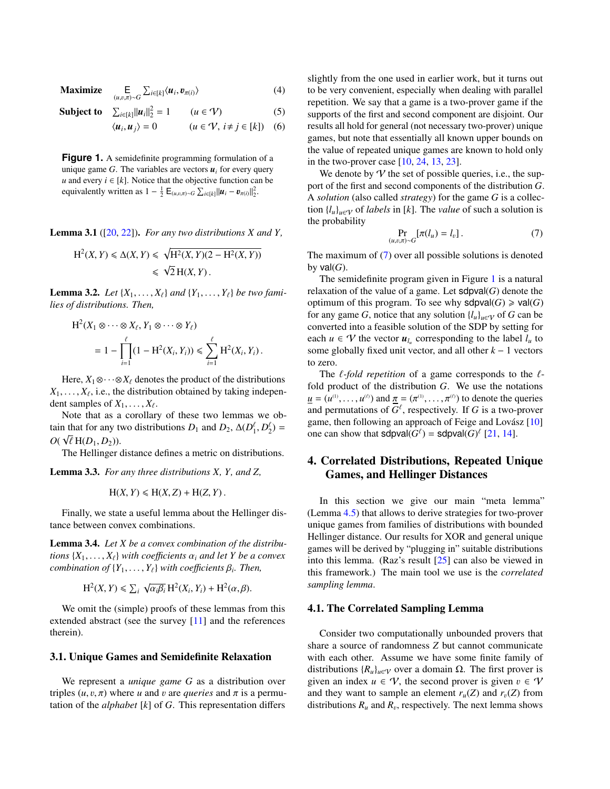**Maximize** (*u*,v,π)∼*<sup>G</sup>*  $\sum_{i\in[k]}\langle u_i, v_{\pi(i)}\rangle$  (4)

Subject to  $\sum_{i \in [k]} ||u_i||_2^2$ 

<span id="page-4-0"></span>
$$
\langle u_i, u_j \rangle = 0 \qquad (u \in \mathcal{V}, i \neq j \in [k]) \quad (6)
$$

 $(u \in V)$  (5)

**Figure 1.** A semidefinite programming formulation of a unique game  $G$ . The variables are vectors  $u_i$  for every query *u* and every  $i \in [k]$ . Notice that the objective function can be equivalently written as  $1 - \frac{1}{2} \mathsf{E}_{(u,v,\pi) \sim G} \sum_{i \in [k]} ||u_i - v_{\pi(i)}||_2^2$ .

Lemma 3.1 ([\[20,](#page-9-14) [22\]](#page-9-15)). *For any two distributions X and Y,*

$$
H2(X, Y) \le \Delta(X, Y) \le \sqrt{H2(X, Y)(2 - H2(X, Y))}
$$
  

$$
\le \sqrt{2} H(X, Y).
$$

<span id="page-4-2"></span>**Lemma 3.2.** *Let*  $\{X_1, \ldots, X_\ell\}$  *and*  $\{Y_1, \ldots, Y_\ell\}$  *be two families of distributions. Then,*

$$
H^2(X_1 \otimes \cdots \otimes X_\ell, Y_1 \otimes \cdots \otimes Y_\ell)
$$
  
=  $1 - \prod_{i=1}^\ell (1 - H^2(X_i, Y_i)) \le \sum_{i=1}^\ell H^2(X_i, Y_i).$ 

Here,  $X_1 \otimes \cdots \otimes X_\ell$  denotes the product of the distributions  $X_1, \ldots, X_\ell$ , i.e., the distribution obtained by taking independent samples of  $Y_1, \ldots, Y_\ell$ dent samples of  $X_1, \ldots, X_\ell$ .<br>Note that as a corollar

Note that as a corollary of these two lemmas we obtain that for any two distributions  $D_1$  and  $D_2$ ,  $\Delta(D_1^{\ell}, D_2^{\ell}) =$  $O(\sqrt{\ell} H(D_1, D_2)).$ <br>The Hellinger

The Hellinger distance defines a metric on distributions.

<span id="page-4-3"></span>Lemma 3.3. *For any three distributions X, Y, and Z,*

$$
H(X, Y) \le H(X, Z) + H(Z, Y).
$$

Finally, we state a useful lemma about the Hellinger distance between convex combinations.

<span id="page-4-4"></span>Lemma 3.4. *Let X be a convex combination of the distributions*  $\{X_1, \ldots, X_\ell\}$  *with coefficients*  $\alpha_i$  *and let Y be a convex*  $combination of  $\{Y_1, \ldots, Y_\ell\}$  with coefficients  $\beta_i$ . Then,$ 

$$
H^{2}(X, Y) \le \sum_{i} \sqrt{\alpha_{i}\beta_{i}} H^{2}(X_{i}, Y_{i}) + H^{2}(\alpha, \beta).
$$

We omit the (simple) proofs of these lemmas from this extended abstract (see the survey [\[11\]](#page-9-16) and the references therein).

#### 3.1. Unique Games and Semidefinite Relaxation

We represent a *unique game G* as a distribution over triples  $(u, v, \pi)$  where *u* and *v* are *queries* and  $\pi$  is a permutation of the *alphabet* [*k*] of *G*. This representation differs

slightly from the one used in earlier work, but it turns out to be very convenient, especially when dealing with parallel repetition. We say that a game is a two-prover game if the supports of the first and second component are disjoint. Our results all hold for general (not necessary two-prover) unique games, but note that essentially all known upper bounds on the value of repeated unique games are known to hold only in the two-prover case [\[10,](#page-9-8) [24,](#page-9-3) [13,](#page-9-4) [23\]](#page-9-5).

We denote by  $V$  the set of possible queries, i.e., the support of the first and second components of the distribution *G*. A *solution* (also called *strategy*) for the game *G* is a collection  $\{l_u\}_{u \in V}$  of *labels* in [k]. The *value* of such a solution is the probability

<span id="page-4-1"></span>
$$
\Pr_{(u,v,\pi)\sim G}[\pi(l_u) = l_v]. \tag{7}
$$

The maximum of [\(7\)](#page-4-1) over all possible solutions is denoted by  $val(G)$ .

The semidefinite program given in Figure  $1$  is a natural relaxation of the value of a game. Let sdpval(*G*) denote the optimum of this program. To see why  $sdpval(G) \geq val(G)$ for any game *G*, notice that any solution  $\{l_u\}_{u \in V}$  of *G* can be converted into a feasible solution of the SDP by setting for each  $u \in \mathcal{V}$  the vector  $u_{l_u}$  corresponding to the label  $l_u$  to some globally fixed unit vector, and all other *k* − 1 vectors to zero.

The  $\ell$ -fold repetition of a game corresponds to the  $\ell$ fold product of the distribution *G*. We use the notations  $u = (u^{(1)}, \dots, u^{(0)})$  and  $\pi = (\pi^{(1)}, \dots, \pi^{(0)})$  to denote the queries<br>and nermutations of  $G^{\ell}$  respectively. If G is a two-prover and permutations of  $G^{\ell}$ , respectively. If *G* is a two-prover game, then following an approach of Feige and Lovász [[10\]](#page-9-8) one can show that  $sdpval(G^{\ell}) = sdpval(G)^{\ell}$  [\[21,](#page-9-9) [14\]](#page-9-13).

# 4. Correlated Distributions, Repeated Unique Games, and Hellinger Distances

In this section we give our main "meta lemma" (Lemma [4.5\)](#page-5-1) that allows to derive strategies for two-prover unique games from families of distributions with bounded Hellinger distance. Our results for XOR and general unique games will be derived by "plugging in" suitable distributions into this lemma. (Raz's result [\[25\]](#page-9-7) can also be viewed in this framework.) The main tool we use is the *correlated sampling lemma*.

#### 4.1. The Correlated Sampling Lemma

Consider two computationally unbounded provers that share a source of randomness *Z* but cannot communicate with each other. Assume we have some finite family of distributions  ${R_u}_{u \in V}$  over a domain  $\Omega$ . The first prover is given an index  $u \in V$ , the second prover is given  $v \in V$ and they want to sample an element  $r_u(Z)$  and  $r_v(Z)$  from distributions  $R_u$  and  $R_v$ , respectively. The next lemma shows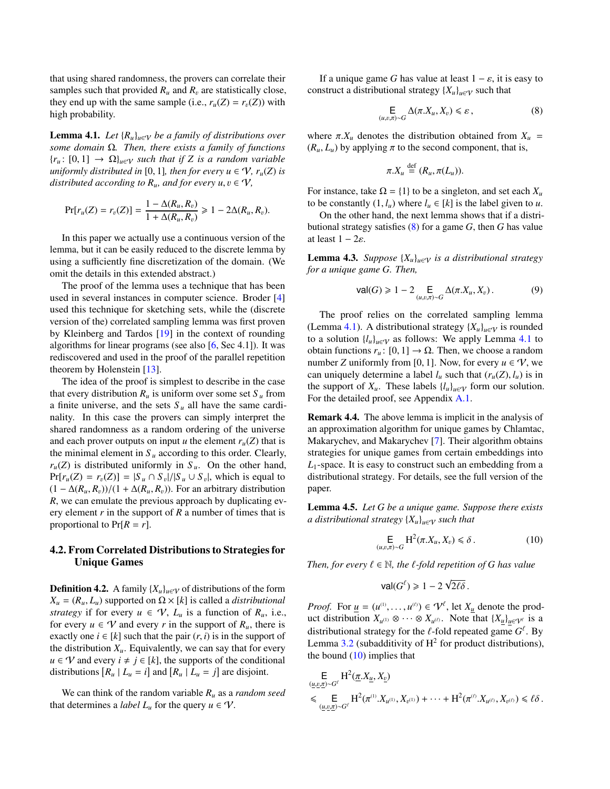that using shared randomness, the provers can correlate their samples such that provided  $R_u$  and  $R_v$  are statistically close, they end up with the same sample (i.e.,  $r_u(Z) = r_v(Z)$ ) with high probability.

<span id="page-5-0"></span>**Lemma 4.1.** *Let*  ${R_u}_{u \in V}$  *be a family of distributions over some domain* Ω*. Then, there exists a family of functions*  ${r_u : [0, 1] \rightarrow \Omega}_{u \in V}$  *such that if Z is a random variable uniformly distributed in* [0, 1]*, then for every*  $u \in V$ *,*  $r_u(Z)$  *is distributed according to*  $R_u$ *, and for every*  $u, v \in V$ *,* 

$$
Pr[r_u(Z) = r_v(Z)] = \frac{1 - \Delta(R_u, R_v)}{1 + \Delta(R_u, R_v)} \ge 1 - 2\Delta(R_u, R_v).
$$

In this paper we actually use a continuous version of the lemma, but it can be easily reduced to the discrete lemma by using a sufficiently fine discretization of the domain. (We omit the details in this extended abstract.)

The proof of the lemma uses a technique that has been used in several instances in computer science. Broder [\[4\]](#page-9-17) used this technique for sketching sets, while the (discrete version of the) correlated sampling lemma was first proven by Kleinberg and Tardos [\[19\]](#page-9-18) in the context of rounding algorithms for linear programs (see also [\[6,](#page-9-19) Sec 4.1]). It was rediscovered and used in the proof of the parallel repetition theorem by Holenstein [\[13\]](#page-9-4).

The idea of the proof is simplest to describe in the case that every distribution  $R_u$  is uniform over some set  $S_u$  from a finite universe, and the sets  $S_u$  all have the same cardinality. In this case the provers can simply interpret the shared randomness as a random ordering of the universe and each prover outputs on input *u* the element  $r_u(Z)$  that is the minimal element in  $S_u$  according to this order. Clearly,  $r_u(Z)$  is distributed uniformly in  $S_u$ . On the other hand,  $\Pr[r_u(Z) = r_v(Z)] = |S_u \cap S_v|/|S_u \cup S_v|$ , which is equal to  $(1 - \Delta(R - R_v))(1 + \Delta(R - R_v))$ . For an arbitrary distribution  $(1 - \Delta(R_u, R_v))/(1 + \Delta(R_u, R_v))$ . For an arbitrary distribution *R*, we can emulate the previous approach by duplicating every element *r* in the support of *R* a number of times that is proportional to  $Pr[R = r]$ .

## 4.2. From Correlated Distributions to Strategies for Unique Games

**Definition 4.2.** A family  ${X_u}_{u \in V}$  of distributions of the form  $X_u = (R_u, L_u)$  supported on  $\Omega \times [k]$  is called a *distributional strategy* if for every  $u \in V$ ,  $L_u$  is a function of  $R_u$ , i.e., for every  $u \in V$  and every *r* in the support of  $R_u$ , there is exactly one  $i \in [k]$  such that the pair  $(r, i)$  is in the support of the distribution  $X_u$ . Equivalently, we can say that for every *u* ∈ *V* and every *i* ≠ *j* ∈ [*k*], the supports of the conditional distributions  $[R_u | L_u = i]$  and  $[R_u | L_u = j]$  are disjoint.

We can think of the random variable *R<sup>u</sup>* as a *random seed* that determines a *label*  $L_u$  for the query  $u \in \mathcal{V}$ .

If a unique game *G* has value at least  $1 - \varepsilon$ , it is easy to construct a distributional strategy  ${X_u}_{u \in V}$  such that

<span id="page-5-2"></span>
$$
\mathop{\mathsf{E}}_{(u,v,\pi)\sim G} \Delta(\pi.X_u,X_v) \leq \varepsilon\,,\tag{8}
$$

where  $\pi$ . $X_u$  denotes the distribution obtained from  $X_u$  =  $(R_u, L_u)$  by applying  $\pi$  to the second component, that is,

$$
\pi.X_u \stackrel{\text{def}}{=} (R_u, \pi(L_u)).
$$

For instance, take  $\Omega = \{1\}$  to be a singleton, and set each  $X_u$ to be constantly  $(1, l_u)$  where  $l_u \in [k]$  is the label given to *u*.

On the other hand, the next lemma shows that if a distributional strategy satisfies [\(8\)](#page-5-2) for a game *G*, then *G* has value at least  $1 - 2\varepsilon$ .

<span id="page-5-4"></span>**Lemma 4.3.** *Suppose*  ${X_u}_{u \in V}$  *is a distributional strategy for a unique game G. Then,*

$$
\text{val}(G) \geq 1 - 2 \underset{(u,v,\pi) \sim G}{\mathsf{E}} \Delta(\pi.X_u, X_v). \tag{9}
$$

The proof relies on the correlated sampling lemma (Lemma [4.1\)](#page-5-0). A distributional strategy  ${X_u}_{u \in V}$  is rounded to a solution  $\{l_u\}_{u \in V}$  as follows: We apply Lemma [4.1](#page-5-0) to obtain functions  $r_u: [0, 1] \to \Omega$ . Then, we choose a random number *Z* uniformly from [0, 1]. Now, for every  $u \in V$ , we can uniquely determine a label  $l_u$  such that  $(r_u(Z), l_u)$  is in the support of  $X_u$ . These labels  $\{l_u\}_{u \in V}$  form our solution. For the detailed proof, see Appendix [A.1.](#page-9-20)

Remark 4.4. The above lemma is implicit in the analysis of an approximation algorithm for unique games by Chlamtac, Makarychev, and Makarychev [\[7\]](#page-9-21). Their algorithm obtains strategies for unique games from certain embeddings into *L*1-space. It is easy to construct such an embedding from a distributional strategy. For details, see the full version of the paper.

<span id="page-5-1"></span>Lemma 4.5. *Let G be a unique game. Suppose there exists a distributional strategy*  ${X_u}_{u \in V}$  *such that* 

<span id="page-5-3"></span>
$$
\mathsf{E}_{(u,v,\pi)\sim G} \mathsf{H}^2(\pi.X_u, X_v) \leq \delta \,. \tag{10}
$$

*Then, for every*  $\ell \in \mathbb{N}$ *, the*  $\ell$ *-fold repetition of G has value* 

$$
\text{val}(G^{\ell}) \geq 1 - 2\sqrt{2\ell\delta}.
$$

*Proof.* For  $\underline{u} = (u^{(1)}, \dots, u^{(0)}) \in \mathcal{V}^{\ell}$ , let  $X_{\underline{u}}$  denote the prod-<br>uct distribution  $X_{(1)} \otimes \cdots \otimes X_{(\ell)}$ . Note that  $\{X_{(1)}, \dots, X_{(\ell)}\}$ uct distribution  $X_{u^{(1)}} \otimes \cdots \otimes X_{u^{(\ell)}}$ . Note that  $\{X_{\underline{u}}\}_{\underline{u} \in \mathcal{V}^{\ell}}$  is a distributional strategy for the  $\ell$ -fold repeated game  $G^{\ell}$ . By<br>Lemma 3.2 (subadditivity of  $H^2$  for product distributions) Lemma [3.2](#page-4-2) (subadditivity of  $H^2$  for product distributions), the bound  $(10)$  implies that

$$
\mathcal{E}_{(\underline{u}, \underline{v}, \underline{\tau}) \sim G'} H^2(\underline{\pi}.X_{\underline{u}}, X_{\underline{v}})
$$
\n
$$
\leq \mathcal{E}_{(\underline{u}, \underline{v}, \underline{\tau}) \sim G'} H^2(\pi^{(1)} . X_{u^{(1)}}, X_{v^{(1)}}) + \dots + H^2(\pi^{(\ell)}.X_{u^{(\ell)}}, X_{v^{(\ell)}}) \leq \ell \delta.
$$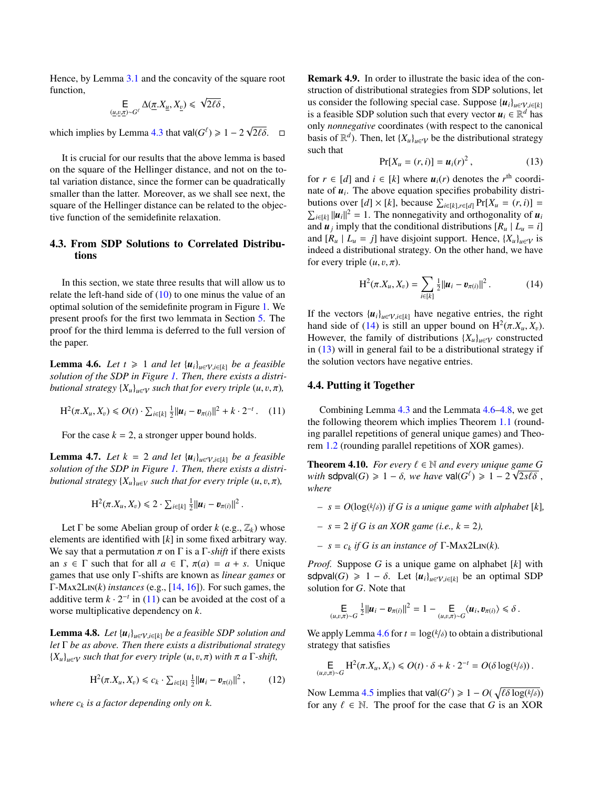Hence, by Lemma [3.1](#page-3-4) and the concavity of the square root function, √

$$
\mathsf{E}_{(\underline{u},\underline{v},\underline{\pi})\sim G^{\ell}}\Delta(\underline{\pi},X_{\underline{u}},X_{\underline{v}})\leqslant \sqrt{2\ell\delta}\,,
$$

which implies by Lemma [4.3](#page-5-4) that  $\text{val}(G^{\ell}) \geq 1 - 2\sqrt{2\ell\delta}$ .  $\Box$ 

It is crucial for our results that the above lemma is based on the square of the Hellinger distance, and not on the total variation distance, since the former can be quadratically smaller than the latter. Moreover, as we shall see next, the square of the Hellinger distance can be related to the objective function of the semidefinite relaxation.

# <span id="page-6-1"></span>4.3. From SDP Solutions to Correlated Distributions

In this section, we state three results that will allow us to relate the left-hand side of [\(10\)](#page-5-3) to one minus the value of an optimal solution of the semidefinite program in Figure [1.](#page-4-0) We present proofs for the first two lemmata in Section [5.](#page-7-0) The proof for the third lemma is deferred to the full version of the paper.

<span id="page-6-5"></span>**Lemma 4.6.** *Let*  $t \ge 1$  *and let*  $\{u_i\}_{i \in \mathcal{V}, i \in [k]}$  *be a feasible solution of the SDP in Figure [1.](#page-4-0) Then, there exists a distributional strategy*  ${X_u}_{u \in V}$  *such that for every triple*  $(u, v, \pi)$ *,* 

<span id="page-6-2"></span>
$$
H^{2}(\pi.X_{u}, X_{v}) \le O(t) \cdot \sum_{i \in [k]} \frac{1}{2} ||u_{i} - v_{\pi(i)}||^{2} + k \cdot 2^{-t}. \quad (11)
$$

For the case  $k = 2$ , a stronger upper bound holds.

<span id="page-6-7"></span>**Lemma 4.7.** *Let*  $k = 2$  *and let*  $\{u_i\}_{u \in \mathcal{V}, i \in [k]}$  *be a feasible solution of the SDP in Figure [1.](#page-4-0) Then, there exists a distributional strategy*  ${X_u}_{u \in V}$  *such that for every triple*  $(u, v, \pi)$ *,* 

$$
H^2(\pi.X_u,X_v)\leq 2\cdot \sum_{i\in[k]}\frac{1}{2}||u_i-v_{\pi(i)}||^2.
$$

Let  $\Gamma$  be some Abelian group of order *k* (e.g.,  $\mathbb{Z}_k$ ) whose elements are identified with [*k*] in some fixed arbitrary way. We say that a permutation  $\pi$  on  $\Gamma$  is a  $\Gamma$ -*shift* if there exists an  $s \in \Gamma$  such that for all  $a \in \Gamma$ ,  $\pi(a) = a + s$ . Unique games that use only Γ-shifts are known as *linear games* or  $\Gamma$ -Max2L $N(k)$  *instances* (e.g., [\[14,](#page-9-13) [16\]](#page-9-11)). For such games, the additive term  $k \cdot 2^{-t}$  in [\(11\)](#page-6-2) can be avoided at the cost of a worse multiplicative dependency on *k*.

<span id="page-6-6"></span>**Lemma 4.8.** *Let*  $\{u_i\}_{i \in \mathcal{V}, i \in [k]}$  *be a feasible SDP solution and let* Γ *be as above. Then there exists a distributional strategy*  ${X_u}_{u \in V}$  *such that for every triple*  $(u, v, \pi)$  *with*  $\pi$  *a*  $\Gamma$ *-shift,* 

$$
H^{2}(\pi.X_{u}, X_{v}) \leq c_{k} \cdot \sum_{i \in [k]} \frac{1}{2} ||u_{i} - v_{\pi(i)}||^{2}, \qquad (12)
$$

*where c<sup>k</sup> is a factor depending only on k.*

Remark 4.9. In order to illustrate the basic idea of the construction of distributional strategies from SDP solutions, let us consider the following special case. Suppose  ${u_i}_{u \in V, i \in [k]}$ is a feasible SDP solution such that every vector  $u_i \in \mathbb{R}^d$  has only *nonnegative* coordinates (with respect to the canonical basis of  $\mathbb{R}^d$ ). Then, let  $\{X_u\}_{u \in \mathcal{V}}$  be the distributional strategy such that

<span id="page-6-4"></span>
$$
Pr[X_u = (r, i)] = u_i(r)^2, \qquad (13)
$$

for  $r \in [d]$  and  $i \in [k]$  where  $u_i(r)$  denotes the  $r^{\text{th}}$  coordinate of  $u_i$ . The above equation specifies probability distributions over  $[d] \times [k]$ , because  $\sum_{i \in [k], r \in [d]} Pr[X_u = (r, i)] = \sum_{i \in [k]} ||u_i||^2 = 1$ . The nonnegativity and orthogonality of  $u_i$  $u_{i\in[k]} ||u_i||^2 = 1$ . The nonnegativity and orthogonality of *u<sub>i</sub>* and  $u_j$  imply that the conditional distributions  $[R_u | L_u = i]$ and  $[R_u | L_u = j]$  have disjoint support. Hence,  $\{X_u\}_{u \in V}$  is indeed a distributional strategy. On the other hand, we have for every triple  $(u, v, \pi)$ .

<span id="page-6-3"></span>
$$
H^{2}(\pi.X_{u}, X_{v}) = \sum_{i \in [k]} \frac{1}{2} ||u_{i} - v_{\pi(i)}||^{2}.
$$
 (14)

If the vectors  ${u_i}_{i \in V, i \in [k]}$  have negative entries, the right hand side of [\(14\)](#page-6-3) is still an upper bound on  $H^2(\pi, X_u, X_v)$ .<br>However, the family of distributions  $\{X_t\}_{t\in\mathbb{R}}$  constructed However, the family of distributions  ${X_u}_{u \in V}$  constructed in [\(13\)](#page-6-4) will in general fail to be a distributional strategy if the solution vectors have negative entries.

### <span id="page-6-0"></span>4.4. Putting it Together

Combining Lemma [4.3](#page-5-4) and the Lemmata [4.6](#page-6-5)[–4.8,](#page-6-6) we get the following theorem which implies Theorem [1.1](#page-1-2) (rounding parallel repetitions of general unique games) and Theorem [1.2](#page-1-3) (rounding parallel repetitions of XOR games).

**Theorem 4.10.** *For every*  $\ell \in \mathbb{N}$  *and every unique game G*  $\omega$  *it is structure in*  $\lambda$   $\Omega$  *set if*  $\lambda$  *i*  $-\lambda$  *j*  $\lambda$  *j*  $\lambda$  *j*  $\lambda$ *f s j*  $\lambda$  *j*  $\lambda$  *j*  $\lambda$  *j*  $\lambda$  *j*  $\lambda$  *j*  $\lambda$  *j*  $\lambda$ *with* sdpval(*G*)  $\geq 1 - \delta$ , we have val(*G*<sup>t</sup>)  $\geq 1 - 2\sqrt{2s\ell\delta}$ , *where*

- *– s* = *O*(log( *k*/δ)) *if <sup>G</sup> is a unique game with alphabet* [*k*]*,*
- *– s* = 2 *if G is an XOR game (i.e., k* = 2*),*
- *–*  $s = c_k$  *if G is an instance of*  $\Gamma$ -MAX2LIN(*k*)*.*

*Proof.* Suppose *G* is a unique game on alphabet [*k*] with sdpval(*G*)  $\geq 1 - \delta$ . Let  $\{u_i\}_{i \in \mathcal{V}, i \in [k]}$  be an optimal SDP solution for *G*. Note that

$$
\mathsf{E}_{(u,v,\pi)\sim G} \tfrac{1}{2} ||u_i - v_{\pi(i)}||^2 = 1 - \mathsf{E}_{(u,v,\pi)\sim G} \langle u_i, v_{\pi(i)} \rangle \le \delta.
$$

We apply Lemma [4.6](#page-6-5) for  $t = \log(k/\delta)$  to obtain a distributional strategy that satisfies strategy that satisfies

$$
\mathsf{E}_{(u,v,\pi)\sim G} \mathrm{H}^2(\pi.X_u,X_v) \leq O(t) \cdot \delta + k \cdot 2^{-t} = O(\delta \log(k/\delta)).
$$

Now Lemma [4.5](#page-5-1) implies that  $\text{val}(G^{\ell}) \geq 1 - O(\sqrt{\ell \delta \log(k/\delta)})$ <br>for any  $\ell \in \mathbb{N}$ . The proof for the case that G is an XOR for any  $\ell \in \mathbb{N}$ . The proof for the case that *G* is an XOR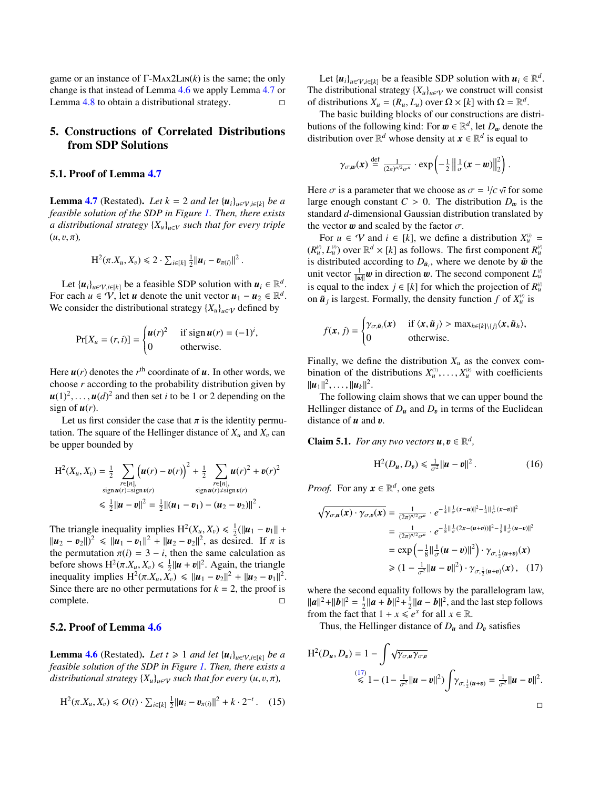game or an instance of  $\Gamma$ -M<sub>AX</sub>2L<sub>IN</sub> $(k)$  is the same; the only change is that instead of Lemma [4.6](#page-6-5) we apply Lemma [4.7](#page-6-7) or Lemma  $4.8$  to obtain a distributional strategy.  $\Box$ 

# <span id="page-7-0"></span>5. Constructions of Correlated Distributions from SDP Solutions

### 5.1. Proof of Lemma [4.7](#page-6-7)

**Lemma [4.7](#page-6-7)** (Restated). Let  $k = 2$  *and let*  $\{u_i\}_{i \in \mathcal{V}, i \in [k]}$  *be a feasible solution of the SDP in Figure [1.](#page-4-0) Then, there exists a distributional strategy* {*Xu*}*u*∈*<sup>V</sup> such that for every triple*  $(u, v, \pi)$ ,

$$
H^{2}(\pi.X_{u}, X_{v}) \leq 2 \cdot \sum_{i \in [k]} \frac{1}{2} ||u_{i} - v_{\pi(i)}||^{2}
$$

Let  $\{u_i\}_{u \in \mathcal{V}, i \in [k]}$  be a feasible SDP solution with  $u_i \in \mathbb{R}^d$ . For each  $u \in V$ , let *u* denote the unit vector  $u_1 - u_2 \in \mathbb{R}^d$ . We consider the distributional strategy  ${X_u}_{u \in V}$  defined by

$$
Pr[X_u = (r, i)] = \begin{cases} u(r)^2 & \text{if sign } u(r) = (-1)^i, \\ 0 & \text{otherwise.} \end{cases}
$$

Here  $u(r)$  denotes the  $r<sup>th</sup>$  coordinate of  $u$ . In other words, we choose *r* according to the probability distribution given by  $u(1)^2, \ldots, u(d)^2$  and then set *i* to be 1 or 2 depending on the sign of  $u(r)$ sign of  $u(r)$ .

Let us first consider the case that  $\pi$  is the identity permutation. The square of the Hellinger distance of  $X_u$  and  $X_v$  can be upper bounded by

$$
H^{2}(X_{u}, X_{v}) = \frac{1}{2} \sum_{\substack{r \in [n], \\ \text{sign } u(r) = \text{sign } v(r)}} {\left( u(r) - v(r) \right)}^{2} + \frac{1}{2} \sum_{\substack{r \in [n], \\ \text{sign } u(r) \neq \text{sign } v(r)}} u(r)^{2} + v(r)^{2}
$$
  
\$\leq \frac{1}{2} ||u - v||^{2} = \frac{1}{2} ||(u\_{1} - v\_{1}) - (u\_{2} - v\_{2})||^{2}\$.

The triangle inequality implies  $H^2(X_u, X_v) \le \frac{1}{2} (||u_1 - v_1|| + ||u_2 - v_2||^2)$  as desired If  $\pi$  is  $||u_2 - v_2||^2 \le ||u_1 - v_1||^2 + ||u_2 - v_2||^2$ , as desired. If  $\pi$  is<br>the permutation  $\pi(i) = 3 - i$ , then the same calculation as the permutation  $\pi(i) = 3 - i$ , then the same calculation as before shows  $H^2(\pi, X_u, X_v) \le \frac{1}{2} ||u + v||^2$ . Again, the triangle<br>inequality implies  $H^2(\pi X, X_v) \le ||u + v||^2 + ||u - v||^2$ inequality implies  $H^2(\pi, X_u, \tilde{X}_v) \le ||u_1 - v_2||^2 + ||u_2 - v_1||^2$ .<br>Since there are no other permutations for  $k - 2$ , the proof is Since there are no other permutations for  $k = 2$ , the proof is complete.

# 5.2. Proof of Lemma [4.6](#page-6-5)

**Lemma [4.6](#page-6-5)** (Restated). Let  $t \geq 1$  and let  $\{u_i\}_{u \in V, i \in [k]}$  be a *feasible solution of the SDP in Figure [1.](#page-4-0) Then, there exists a distributional strategy*  ${X_u}_{u \in V}$  *such that for every*  $(u, v, \pi)$ *,* 

<span id="page-7-4"></span>
$$
H^{2}(\pi.X_{u}, X_{v}) \leq O(t) \cdot \sum_{i \in [k]} \frac{1}{2} ||u_{i} - v_{\pi(i)}||^{2} + k \cdot 2^{-t}. \quad (15)
$$

Let  $\{u_i\}_{u \in \mathcal{V}, i \in [k]}$  be a feasible SDP solution with  $u_i \in \mathbb{R}^d$ . The distributional strategy  ${X_u}_{u \in V}$  we construct will consist of distributions  $X_u = (R_u, L_u)$  over  $\Omega \times [k]$  with  $\Omega = \mathbb{R}^d$ .<br>The basic building blocks of our constructions are di-

The basic building blocks of our constructions are distributions of the following kind: For  $w \in \mathbb{R}^d$ , let  $D_w$  denote the distribution over  $\mathbb{R}^d$  whose density at  $\mathbf{x} \in \mathbb{R}^d$  is equal to distribution over  $\mathbb{R}^d$  whose density at  $x \in \mathbb{R}^d$  is equal to

$$
\gamma_{\sigma,\mathbf{w}}(\mathbf{x}) \stackrel{\text{def}}{=} \frac{1}{(2\pi)^{n/2}\sigma^n} \cdot \exp\left(-\frac{1}{2} \left\| \frac{1}{\sigma}(\mathbf{x}-\mathbf{w}) \right\|^2_2\right)
$$

Here  $\sigma$  is a parameter that we choose as  $\sigma = 1/c \sqrt{t}$  for some large enough constant  $C > 0$ . The distribution  $D$  is the large enough constant  $C > 0$ . The distribution  $D_w$  is the standard *d*-dimensional Gaussian distribution translated by the vector  $\boldsymbol{w}$  and scaled by the factor  $\sigma$ .

For  $u \in V$  and  $i \in [k]$ , we define a distribution  $X_u^{(i)} =$  $(R_u^0, L_u^0)$  over  $\mathbb{R}^d \times [k]$  as follows. The first component  $R_u^0$ <br>*is distributed according to D<sub>s</sub> where we denote by*  $\tilde{m}$  *the* is distributed according to  $D_{\tilde{u}_i}$ , where we denote by  $\tilde{w}$  the unit vector  $\frac{1}{L}w$  in direction  $w$ . The second component  $I^{\omega}$ unit vector  $\frac{1}{\|w\|}w$  in direction w. The second component  $L^0_u$ <br>is equal to the index  $i \in [h]$  for which the projection of  $B^{(i)}$ is equal to the index  $j \in [k]$  for which the projection of  $R_u^0$ on  $\tilde{u}_j$  is largest. Formally, the density function  $f$  of  $X_u^{(i)}$  is

$$
f(\mathbf{x},j) = \begin{cases} \gamma_{\sigma,\tilde{\mathbf{u}}_i}(\mathbf{x}) & \text{if } \langle \mathbf{x}, \tilde{\mathbf{u}}_j \rangle > \max_{h \in [k] \setminus \{j\}} \langle \mathbf{x}, \tilde{\mathbf{u}}_h \rangle, \\ 0 & \text{otherwise.} \end{cases}
$$

Finally, we define the distribution  $X_u$  as the convex combination of the distributions  $X_u^{(1)}, \ldots, X_u^{(k)}$  with coefficients  $||u \cdot ||^2$  $\|\bm{u}_1\|^2, \ldots, \|\bm{u}_k\|^2.$ <br>The following

The following claim shows that we can upper bound the Hellinger distance of  $D_u$  and  $D_v$  in terms of the Euclidean distance of x and x distance of  $u$  and  $v$ .

<span id="page-7-3"></span>**Claim 5.1.** *For any two vectors*  $\mathbf{u}, \mathbf{v} \in \mathbb{R}^d$ ,

<span id="page-7-2"></span>
$$
H^{2}(D_{u}, D_{v}) \leq \frac{1}{\sigma^{2}} \|u - v\|^{2}.
$$
 (16)

*Proof.* For any  $x \in \mathbb{R}^d$ , one gets

$$
\sqrt{\gamma_{\sigma,u}(x) \cdot \gamma_{\sigma,v}(x)} = \frac{1}{(2\pi)^{n/2} \sigma^n} \cdot e^{-\frac{1}{4} ||\frac{1}{\sigma}(x-u)||^2 - \frac{1}{4} ||\frac{1}{\sigma}(x-v)||^2}
$$
  
\n
$$
= \frac{1}{(2\pi)^{n/2} \sigma^n} \cdot e^{-\frac{1}{8} ||\frac{1}{\sigma}(2x-(u+v))||^2 - \frac{1}{8} ||\frac{1}{\sigma}(u-v)||^2}
$$
  
\n
$$
= \exp\left(-\frac{1}{8} ||\frac{1}{\sigma}(u-v)||^2\right) \cdot \gamma_{\sigma,\frac{1}{2}(u+v)}(x)
$$
  
\n
$$
\geq (1 - \frac{1}{\sigma^2} ||u-v||^2) \cdot \gamma_{\sigma,\frac{1}{2}(u+v)}(x), \quad (17)
$$

where the second equality follows by the parallelogram law,  $||a||^2 + ||b||^2 = \frac{1}{2} ||a + b||^2 + \frac{1}{2} ||a - b||^2$ , and the last step follows from the fact that  $1 + x \leq e^x$  for all  $x \in \mathbb{R}$ .

Thus, the Hellinger distance of  $D_u$  and  $D_v$  satisfies

$$
H^{2}(D_{u}, D_{v}) = 1 - \int \sqrt{\gamma_{\sigma, u} \gamma_{\sigma, v}} \leq 1 - (1 - \frac{1}{\sigma^{2}} ||u - v||^{2}) \int \gamma_{\sigma, \frac{1}{2}(u + v)} = \frac{1}{\sigma^{2}} ||u - v||^{2}.
$$

<span id="page-7-1"></span> $\Box$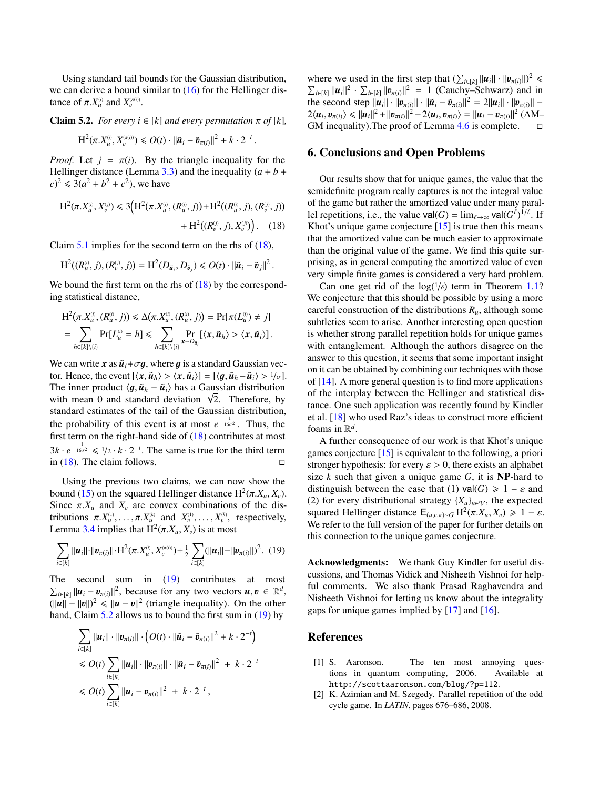Using standard tail bounds for the Gaussian distribution, we can derive a bound similar to  $(16)$  for the Hellinger distance of  $\pi$ .*X*<sup>(*i*)</sup></sub> and *X*<sub>*v*</sub><sup> $(\pi$ </sup>.

<span id="page-8-4"></span>**Claim 5.2.** *For every*  $i \in [k]$  *and every permutation*  $\pi$  *of* [ $k$ ],

$$
\mathrm{H}^{2}(\pi, X_{u}^{(i)}, X_{v}^{\pi(i))}) \leqslant O(t) \cdot ||\tilde{\boldsymbol{u}}_{i} - \tilde{\boldsymbol{v}}_{\pi(i)}||^{2} + k \cdot 2^{-t}
$$

*Proof.* Let  $j = \pi(i)$ . By the triangle inequality for the Hellinger distance (Lemma [3.3\)](#page-4-3) and the inequality  $(a + b + b)$  $(c)^2 \le 3(a^2 + b^2 + c^2)$ , we have

$$
H^{2}(\pi, X_{u}^{(i)}, X_{v}^{(j)}) \leq 3(H^{2}(\pi, X_{u}^{(i)}, (R_{u}^{(i)}, j)) + H^{2}((R_{u}^{(i)}, j), (R_{v}^{(j)}, j)) + H^{2}((R_{v}^{(j)}, j), X_{v}^{(j)})
$$
 (18)

Claim  $5.1$  implies for the second term on the rhs of  $(18)$ ,

$$
\mathrm{H}^{2}((R_{u}^{\scriptscriptstyle(i)},j),(R_{v}^{\scriptscriptstyle(j)},j))=\mathrm{H}^{2}(D_{\tilde{u}_{i}},D_{\tilde{v}_{j}})\leqslant O(t)\cdot\|\tilde{u}_{i}-\tilde{v}_{j}\|^{2}.
$$

We bound the first term on the rhs of  $(18)$  by the corresponding statistical distance,

$$
H^{2}(\pi X_{u}^{(i)}, (R_{u}^{(i)}, j)) \le \Delta(\pi X_{u}^{(i)}, (R_{u}^{(i)}, j)) = Pr[\pi(L_{u}^{(i)} \neq j]
$$
  
= 
$$
\sum_{h \in [k] \setminus \{i\}} Pr[L_{u}^{(i)} = h] \le \sum_{h \in [k] \setminus \{i\}} \sum_{x \sim D_{\tilde{u}_{i}}} Pr_{h}[\langle x, \tilde{u}_{h} \rangle > \langle x, \tilde{u}_{i} \rangle].
$$

We can write x as  $\tilde{u}_i + \sigma g$ , where g is a standard Gaussian vector. Hence, the event  $[\langle x, \tilde{u}_h \rangle > \langle x, \tilde{u}_i \rangle] = [\langle q, \tilde{u}_h - \tilde{u}_i \rangle > 1/\sigma].$ The inner product  $\langle g, \tilde{u}_h - \tilde{u}_i \rangle$  has a Gaussian distribution The inner product  $\langle g, u_h - u_i \rangle$  has a Gaussian distribution with mean 0 and standard deviation  $\sqrt{2}$ . Therefore, by standard estimates of the tail of the Gaussian distribution, the probability of this event is at most  $e^{-\frac{1}{16\sigma^2}}$ . Thus, the first term on the right-hand side of [\(18\)](#page-8-2) contributes at most  $3k \cdot e^{-\frac{1}{16\sigma^2}} \leq 1/2 \cdot k \cdot 2^{-t}$ . The same is true for the third term in [\(18\)](#page-8-2). The claim follows.  $\square$ 

Using the previous two claims, we can now show the bound [\(15\)](#page-7-4) on the squared Hellinger distance  $H^2(\pi, X_u, X_v)$ .<br>Since  $\pi X$  and X are convex combinations of the dis-Since  $\pi$ . $X_u$  and  $X_v$  are convex combinations of the distributions  $\pi \cdot X_u^{(1)}, \ldots, \pi \cdot X_u^{(k)}$  and  $X_v^{(1)}, \ldots, X_v^{(k)}$ , respectively,<br>Lemma 3.4 implies that  $H^2(\pi X, X)$  is at most Lemma [3.4](#page-4-4) implies that  $H^2(\pi.X_u, X_v)$  is at most

<span id="page-8-3"></span>
$$
\sum_{i\in[k]}||u_i||\cdot||v_{\pi(i)}||\cdot H^2(\pi.X_u^{\scriptscriptstyle(i)},X_v^{\scriptscriptstyle(\pi(i))})+\tfrac{1}{2}\sum_{i\in[k]}(||u_i||-||v_{\pi(i)}||)^2. \tag{19}
$$

The second sum in  $(19)$  contributes at most  $\sum_{i \in [k]} ||u_i - v_{\pi(i)}||^2$ , because for any two vectors  $u, v \in \mathbb{R}^d$ ,  $||u|| = ||v||^2 \le ||u - v||^2$  (triangle inequality). On the other  $(\|\boldsymbol{u}\| - \|\boldsymbol{v}\|)^2 \le \|\boldsymbol{u} - \boldsymbol{v}\|^2$  (triangle inequality). On the other<br>hand Claim 5.2 allows us to bound the first sum in (19) by hand, Claim [5.2](#page-8-4) allows us to bound the first sum in [\(19\)](#page-8-3) by

$$
\sum_{i \in [k]} ||u_i|| \cdot ||v_{\pi(i)}|| \cdot \left( O(t) \cdot ||\tilde{u}_i - \tilde{v}_{\pi(i)}||^2 + k \cdot 2^{-t} \right)
$$
  
\n
$$
\leq O(t) \sum_{i \in [k]} ||u_i|| \cdot ||v_{\pi(i)}|| \cdot ||\tilde{u}_i - \tilde{v}_{\pi(i)}||^2 + k \cdot 2^{-t}
$$
  
\n
$$
\leq O(t) \sum_{i \in [k]} ||u_i - v_{\pi(i)}||^2 + k \cdot 2^{-t},
$$

where we used in the first step that  $(\sum_{i\in[k]} ||u_i|| \cdot ||v_{\pi(i)}||)^2 \le \sum_{i\in[k]} ||u_i||^2 \cdot \sum_{i\in[k]} ||v_{\pi(i)}||^2 = 1$  (Cauchy–Schwarz) and in  $\sum_{i \in [k]} ||u_i||^2 \cdot \sum_{i \in [k]} ||v_{\pi(i)}||^2 = 1$  (Cauchy–Schwarz) and in<br>the second step  $||u|| \cdot ||p_{\pi(i)}|| \cdot ||\tilde{u} - \tilde{n}_{\pi(i)}||^2 = 2||u|| \cdot ||p_{\pi(i)}||$ the second step  $||u_i|| \cdot ||v_{\pi(i)}|| \cdot ||\tilde{u}_i - \tilde{v}_{\pi(i)}||^2 = 2||u_i|| \cdot ||v_{\pi(i)}|| -$ <br>
2/*ui*,  $v_{\pi(i)} \le ||u_i||^2 + ||v_{\pi(i)}||^2 - 2/u$ ,  $v_{\pi(i)} \ge ||u_i - v_{\pi(i)}||^2$  (AM- $2\langle u_i, v_{\pi(i)} \rangle \le ||u_i||^2 + ||v_{\pi(i)}||^2 - 2\langle u_i, v_{\pi(i)} \rangle = ||u_i - v_{\pi(i)}||^2$  (AM–<br>GM inequality) The proof of Lemma 4.6 is complete GM inequality).The proof of Lemma [4.6](#page-6-5) is complete.

## 6. Conclusions and Open Problems

<span id="page-8-2"></span>Our results show that for unique games, the value that the semidefinite program really captures is not the integral value of the game but rather the amortized value under many parallel repetitions, i.e., the value  $\overline{\text{val}}(G) = \lim_{\ell \to \infty} \text{val}(G^{\ell})^{1/\ell}$ . If Khot's unique game conjecture  $[15]$  is true then this means that the amortized value can be much easier to approximate than the original value of the game. We find this quite surprising, as in general computing the amortized value of even very simple finite games is considered a very hard problem.

Can one get rid of the  $log(1/\delta)$  term in Theorem [1.1?](#page-1-2) We conjecture that this should be possible by using a more careful construction of the distributions *Ru*, although some subtleties seem to arise. Another interesting open question is whether strong parallel repetition holds for unique games with entanglement. Although the authors disagree on the answer to this question, it seems that some important insight on it can be obtained by combining our techniques with those of [\[14\]](#page-9-13). A more general question is to find more applications of the interplay between the Hellinger and statistical distance. One such application was recently found by Kindler et al. [\[18\]](#page-9-23) who used Raz's ideas to construct more efficient foams in  $\mathbb{R}^d$ .

A further consequence of our work is that Khot's unique games conjecture [\[15\]](#page-9-22) is equivalent to the following, a priori stronger hypothesis: for every  $\varepsilon > 0$ , there exists an alphabet size *k* such that given a unique game *G*, it is NP-hard to distinguish between the case that (1)  $\text{val}(G) \geq 1 - \varepsilon$  and (2) for every distributional strategy  ${X_u}_{u \in V}$ , the expected squared Hellinger distance  $E_{(u,v,\pi)\sim G} H^2(\pi, X_u, X_v) \geq 1 - \varepsilon$ .<br>We refer to the full version of the paper for further details on We refer to the full version of the paper for further details on this connection to the unique games conjecture.

Acknowledgments: We thank Guy Kindler for useful discussions, and Thomas Vidick and Nisheeth Vishnoi for helpful comments. We also thank Prasad Raghavendra and Nisheeth Vishnoi for letting us know about the integrality gaps for unique games implied by [\[17\]](#page-9-10) and [\[16\]](#page-9-11).

### References

- <span id="page-8-0"></span>[1] S. Aaronson. The ten most annoying questions in quantum computing, 2006. Available at http://scottaaronson.com/blog/?p=112.
- <span id="page-8-1"></span>[2] K. Azimian and M. Szegedy. Parallel repetition of the odd cycle game. In *LATIN*, pages 676–686, 2008.